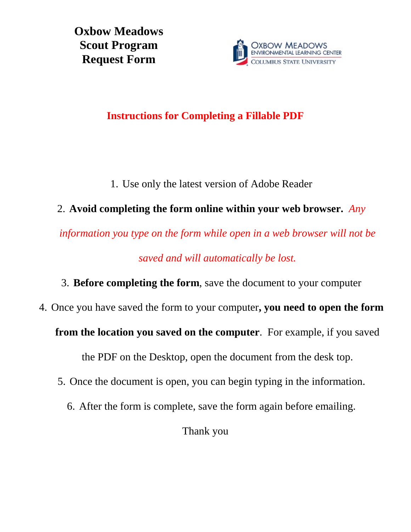**Oxbow Meadows Scout Program Request Form**



## **Instructions for Completing a Fillable PDF**

1. Use only the latest version of Adobe Reader

## 2. **Avoid completing the form online within your web browser.** *Any*

*information you type on the form while open in a web browser will not be saved and will automatically be lost.*

3. **Before completing the form**, save the document to your computer

4. Once you have saved the form to your computer**, you need to open the form** 

**from the location you saved on the computer**. For example, if you saved

the PDF on the Desktop, open the document from the desk top.

- 5. Once the document is open, you can begin typing in the information.
	- 6. After the form is complete, save the form again before emailing.

Thank you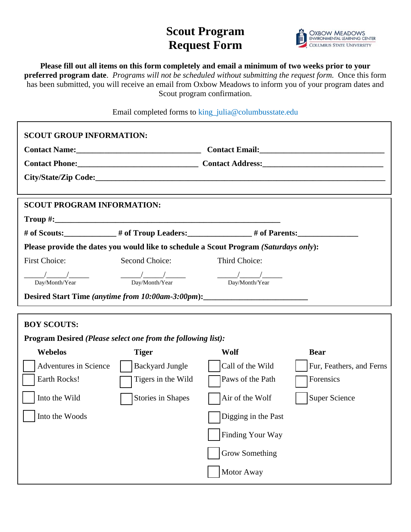## **Scout Program Request Form**



**Please fill out all items on this form completely and email a minimum of two weeks prior to your preferred program date**. *Programs will not be scheduled without submitting the request form.* Once this form has been submitted, you will receive an email from Oxbow Meadows to inform you of your program dates and Scout program confirmation.

Email completed forms to king\_julia@columbusstate.edu

| <b>SCOUT GROUP INFORMATION:</b>                                                       |                                                     |                       | Contact Email:<br><u>Contact Email:</u><br>Contact Phone: Contact Address: Contact Address: |  |
|---------------------------------------------------------------------------------------|-----------------------------------------------------|-----------------------|---------------------------------------------------------------------------------------------|--|
| <b>SCOUT PROGRAM INFORMATION:</b>                                                     |                                                     |                       |                                                                                             |  |
|                                                                                       |                                                     |                       |                                                                                             |  |
|                                                                                       |                                                     |                       |                                                                                             |  |
| Please provide the dates you would like to schedule a Scout Program (Saturdays only): |                                                     |                       |                                                                                             |  |
| <b>First Choice:</b>                                                                  | Second Choice:                                      | Third Choice:         |                                                                                             |  |
| $\frac{1}{\frac{1}{2}}$ $\frac{1}{\frac{1}{2}}$<br>Day/Month/Year                     | $\frac{\frac{1}{2}}{\frac{1}{2}}$<br>Day/Month/Year | Day/Month/Year        |                                                                                             |  |
| Desired Start Time (anytime from 10:00am-3:00pm):_______________________________      |                                                     |                       |                                                                                             |  |
|                                                                                       |                                                     |                       |                                                                                             |  |
| <b>BOY SCOUTS:</b>                                                                    |                                                     |                       |                                                                                             |  |
| Program Desired (Please select one from the following list):                          |                                                     |                       |                                                                                             |  |
| <b>Webelos</b>                                                                        | <b>Tiger</b>                                        | Wolf                  | <b>Bear</b>                                                                                 |  |
| Adventures in Science                                                                 | <b>Backyard Jungle</b>                              | Call of the Wild      | Fur, Feathers, and Ferns                                                                    |  |
| Earth Rocks!                                                                          | Tigers in the Wild                                  | Paws of the Path      | Forensics                                                                                   |  |
| Into the Wild                                                                         | <b>Stories in Shapes</b>                            | Air of the Wolf       | <b>Super Science</b>                                                                        |  |
| Into the Woods                                                                        |                                                     | Digging in the Past   |                                                                                             |  |
|                                                                                       |                                                     | Finding Your Way      |                                                                                             |  |
|                                                                                       |                                                     | <b>Grow Something</b> |                                                                                             |  |
|                                                                                       |                                                     | Motor Away            |                                                                                             |  |